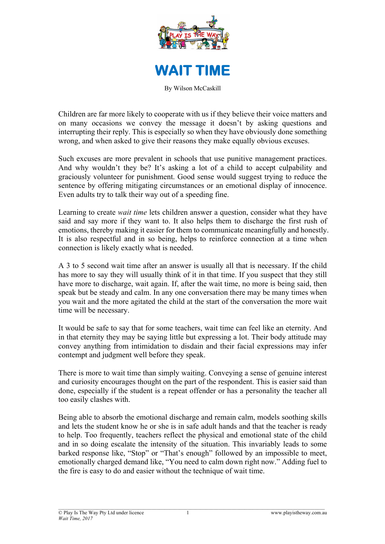



By Wilson McCaskill

Children are far more likely to cooperate with us if they believe their voice matters and on many occasions we convey the message it doesn't by asking questions and interrupting their reply. This is especially so when they have obviously done something wrong, and when asked to give their reasons they make equally obvious excuses.

Such excuses are more prevalent in schools that use punitive management practices. And why wouldn't they be? It's asking a lot of a child to accept culpability and graciously volunteer for punishment. Good sense would suggest trying to reduce the sentence by offering mitigating circumstances or an emotional display of innocence. Even adults try to talk their way out of a speeding fine.

Learning to create *wait time* lets children answer a question, consider what they have said and say more if they want to. It also helps them to discharge the first rush of emotions, thereby making it easier for them to communicate meaningfully and honestly. It is also respectful and in so being, helps to reinforce connection at a time when connection is likely exactly what is needed.

A 3 to 5 second wait time after an answer is usually all that is necessary. If the child has more to say they will usually think of it in that time. If you suspect that they still have more to discharge, wait again. If, after the wait time, no more is being said, then speak but be steady and calm. In any one conversation there may be many times when you wait and the more agitated the child at the start of the conversation the more wait time will be necessary.

It would be safe to say that for some teachers, wait time can feel like an eternity. And in that eternity they may be saying little but expressing a lot. Their body attitude may convey anything from intimidation to disdain and their facial expressions may infer contempt and judgment well before they speak.

There is more to wait time than simply waiting. Conveying a sense of genuine interest and curiosity encourages thought on the part of the respondent. This is easier said than done, especially if the student is a repeat offender or has a personality the teacher all too easily clashes with.

Being able to absorb the emotional discharge and remain calm, models soothing skills and lets the student know he or she is in safe adult hands and that the teacher is ready to help. Too frequently, teachers reflect the physical and emotional state of the child and in so doing escalate the intensity of the situation. This invariably leads to some barked response like, "Stop" or "That's enough" followed by an impossible to meet, emotionally charged demand like, "You need to calm down right now." Adding fuel to the fire is easy to do and easier without the technique of wait time.

1